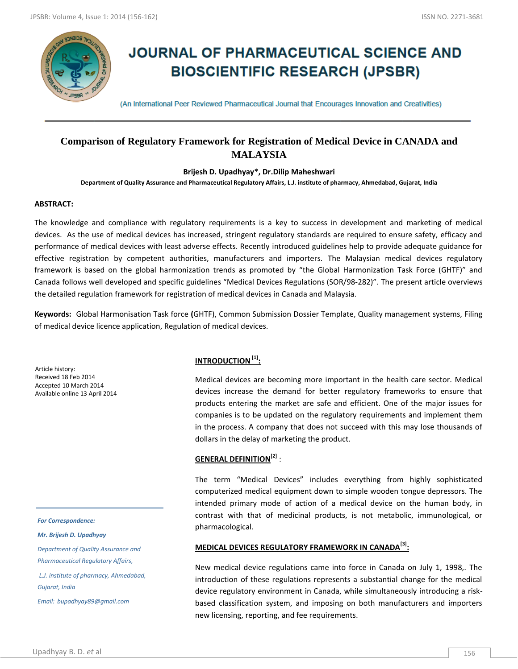

# **JOURNAL OF PHARMACEUTICAL SCIENCE AND BIOSCIENTIFIC RESEARCH (JPSBR)**

(An International Peer Reviewed Pharmaceutical Journal that Encourages Innovation and Creativities)

# **Comparison of Regulatory Framework for Registration of Medical Device in CANADA and MALAYSIA**

**Brijesh D. Upadhyay\*, Dr.Dilip Maheshwari**

**Department of Quality Assurance and Pharmaceutical Regulatory Affairs, L.J. institute of pharmacy, Ahmedabad, Gujarat, India**

#### **ABSTRACT:**

The knowledge and compliance with regulatory requirements is a key to success in development and marketing of medical devices. As the use of medical devices has increased, stringent regulatory standards are required to ensure safety, efficacy and performance of medical devices with least adverse effects. Recently introduced guidelines help to provide adequate guidance for effective registration by competent authorities, manufacturers and importers. The Malaysian medical devices regulatory framework is based on the global harmonization trends as promoted by "the Global Harmonization Task Force (GHTF)" and Canada follows well developed and specific guidelines "Medical Devices Regulations (SOR/98-282)". The present article overviews the detailed regulation framework for registration of medical devices in Canada and Malaysia.

**Keywords:** Global Harmonisation Task force **(**GHTF), Common Submission Dossier Template, Quality management systems, Filing of medical device licence application, Regulation of medical devices.

Article history: Received 18 Feb 2014 Accepted 10 March 2014 Available online 13 April 2014

*For Correspondence:*

*Mr. Brijesh D. Upadhyay*

*Department of Quality Assurance and Pharmaceutical Regulatory Affairs, L.J. institute of pharmacy, Ahmedabad, Gujarat, India*

*Email: bupadhyay89@gmail.com*

## **INTRODUCTION[1] :**

Medical devices are becoming more important in the health care sector. Medical devices increase the demand for better regulatory frameworks to ensure that products entering the market are safe and efficient. One of the major issues for companies is to be updated on the regulatory requirements and implement them in the process. A company that does not succeed with this may lose thousands of dollars in the delay of marketing the product.

## **GENERAL DEFINITION[2]** :

The term "Medical Devices" includes everything from highly sophisticated computerized medical equipment down to simple wooden tongue depressors. The intended primary mode of action of a medical device on the human body, in contrast with that of medicinal products, is not metabolic, immunological, or pharmacological.

## **MEDICAL DEVICES REGULATORY FRAMEWORK IN CANADA[3] :**

New medical device regulations came into force in Canada on July 1, 1998,. The introduction of these regulations represents a substantial change for the medical device regulatory environment in Canada, while simultaneously introducing a riskbased classification system, and imposing on both manufacturers and importers new licensing, reporting, and fee requirements.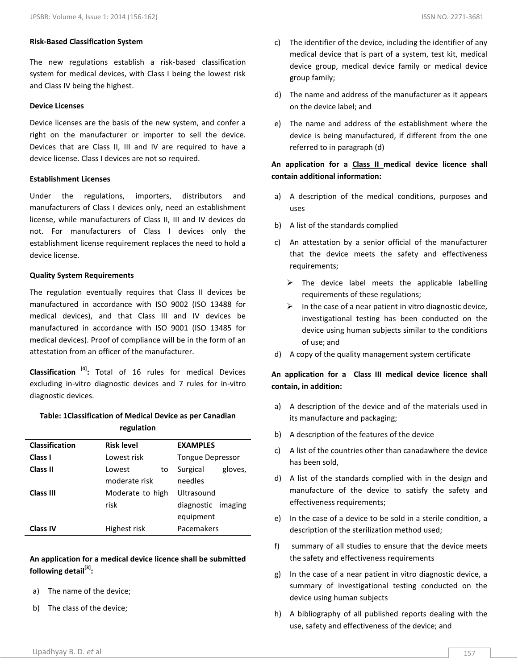#### **Risk-Based Classification System**

The new regulations establish a risk-based classification system for medical devices, with Class I being the lowest risk and Class IV being the highest.

#### **Device Licenses**

Device licenses are the basis of the new system, and confer a right on the manufacturer or importer to sell the device. Devices that are Class II, III and IV are required to have a device license. Class I devices are not so required.

#### **Establishment Licenses**

Under the regulations, importers, distributors and manufacturers of Class I devices only, need an establishment license, while manufacturers of Class II, III and IV devices do not. For manufacturers of Class I devices only the establishment license requirement replaces the need to hold a device license.

#### **Quality System Requirements**

The regulation eventually requires that Class II devices be manufactured in accordance with ISO 9002 (ISO 13488 for medical devices), and that Class III and IV devices be manufactured in accordance with ISO 9001 (ISO 13485 for medical devices). Proof of compliance will be in the form of an attestation from an officer of the manufacturer.

**Classification [4] :** Total of 16 rules for medical Devices excluding in-vitro diagnostic devices and 7 rules for in-vitro diagnostic devices.

### **Table: 1Classification of Medical Device as per Canadian regulation**

| <b>Classification</b> | <b>Risk level</b> | <b>EXAMPLES</b>     |
|-----------------------|-------------------|---------------------|
| Class I               | Lowest risk       | Tongue Depressor    |
| Class II              | Lowest<br>to      | Surgical<br>gloves, |
|                       | moderate risk     | needles             |
| Class III             | Moderate to high  | Ultrasound          |
|                       | risk              | diagnostic imaging  |
|                       |                   | equipment           |
| <b>Class IV</b>       | Highest risk      | Pacemakers          |

**An application for a medical device licence shall be submitted following detail[3] :**

- a) The name of the device;
- b) The class of the device;
- c) The identifier of the device, including the identifier of any medical device that is part of a system, test kit, medical device group, medical device family or medical device group family;
- d) The name and address of the manufacturer as it appears on the device label; and
- e) The name and address of the establishment where the device is being manufactured, if different from the one referred to in paragraph (d)

### **An application for a Class II medical device licence shall contain additional information:**

- a) A description of the medical conditions, purposes and uses
- b) A list of the standards complied
- c) An attestation by a senior official of the manufacturer that the device meets the safety and effectiveness requirements;
	- $\triangleright$  The device label meets the applicable labelling requirements of these regulations;
	- $\triangleright$  In the case of a near patient in vitro diagnostic device, investigational testing has been conducted on the device using human subjects similar to the conditions of use; and
- d) A copy of the quality management system certificate

## **An application for a Class III medical device licence shall contain, in addition:**

- a) A description of the device and of the materials used in its manufacture and packaging;
- b) A description of the features of the device
- c) A list of the countries other than canadawhere the device has been sold,
- d) A list of the standards complied with in the design and manufacture of the device to satisfy the safety and effectiveness requirements;
- e) In the case of a device to be sold in a sterile condition, a description of the sterilization method used;
- f) summary of all studies to ensure that the device meets the safety and effectiveness requirements
- g) In the case of a near patient in vitro diagnostic device, a summary of investigational testing conducted on the device using human subjects
- h) A bibliography of all published reports dealing with the use, safety and effectiveness of the device; and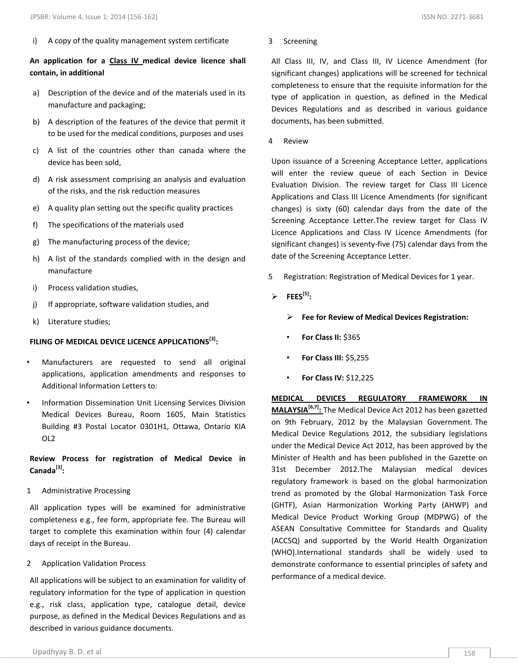i) A copy of the quality management system certificate

## **An application for a Class IV medical device licence shall contain, in additional**

- a) Description of the device and of the materials used in its manufacture and packaging;
- b) A description of the features of the device that permit it to be used for the medical conditions, purposes and uses
- c) A list of the countries other than canada where the device has been sold,
- d) A risk assessment comprising an analysis and evaluation of the risks, and the risk reduction measures
- e) A quality plan setting out the specific quality practices
- f) The specifications of the materials used
- g) The manufacturing process of the device;
- h) A list of the standards complied with in the design and manufacture
- i) Process validation studies,
- j) If appropriate, software validation studies, and
- k) Literature studies;

## **FILING OF MEDICAL DEVICE LICENCE APPLICATIONS[3] :**

- Manufacturers are requested to send all original applications, application amendments and responses to Additional Information Letters to:
- Information Dissemination Unit Licensing Services Division Medical Devices Bureau, Room 1605, Main Statistics Building #3 Postal Locator 0301H1, Ottawa, Ontario KIA OL2

## **Review Process for registration of Medical Device in Canada[3] :**

1 Administrative Processing

All application types will be examined for administrative completeness e.g., fee form, appropriate fee. The Bureau will target to complete this examination within four (4) calendar days of receipt in the Bureau.

2 Application Validation Process

All applications will be subject to an examination for validity of regulatory information for the type of application in question e.g., risk class, application type, catalogue detail, device purpose, as defined in the Medical Devices Regulations and as described in various guidance documents.

All Class III, IV, and Class III, IV Licence Amendment (for significant changes) applications will be screened for technical completeness to ensure that the requisite information for the type of application in question, as defined in the Medical Devices Regulations and as described in various guidance documents, has been submitted.

4 Review

Upon issuance of a Screening Acceptance Letter, applications will enter the review queue of each Section in Device Evaluation Division. The review target for Class III Licence Applications and Class III Licence Amendments (for significant changes) is sixty (60) calendar days from the date of the Screening Acceptance Letter.The review target for Class IV Licence Applications and Class IV Licence Amendments (for significant changes) is seventy-five (75) calendar days from the date of the Screening Acceptance Letter.

- 5 Registration: Registration of Medical Devices for 1 year.
- $\triangleright$  **FEES**<sup>[5]</sup>:
	- **Fee for Review of Medical Devices Registration:**
	- **For Class II:** \$365
	- **For Class III:** \$5,255
	- **For Class IV:** \$12,225

**MEDICAL DEVICES REGULATORY FRAMEWORK IN MALAYSIA[6,7] :** The Medical Device Act 2012 has been gazetted on 9th February, 2012 by the Malaysian Government. The Medical Device Regulations 2012, the subsidiary legislations under the Medical Device Act 2012, has been approved by the Minister of Health and has been published in the Gazette on 31st December 2012.The Malaysian medical devices regulatory framework is based on the global harmonization trend as promoted by the Global Harmonization Task Force (GHTF), Asian Harmonization Working Party (AHWP) and Medical Device Product Working Group (MDPWG) of the ASEAN Consultative Committee for Standards and Quality (ACCSQ) and supported by the World Health Organization (WHO).International standards shall be widely used to demonstrate conformance to essential principles of safety and performance of a medical device.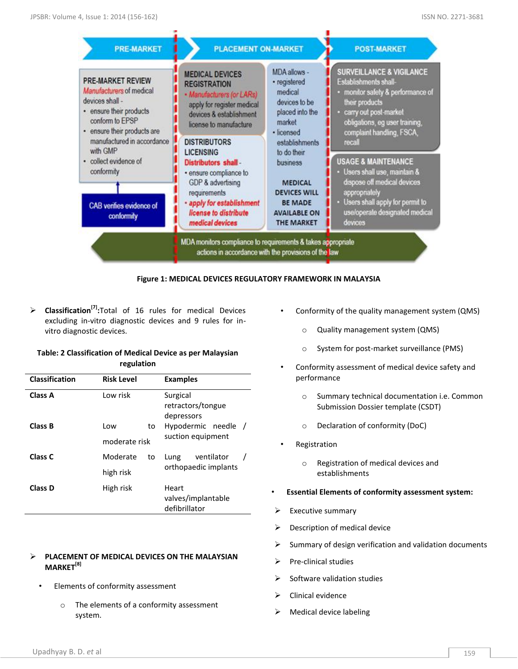

#### **Figure 1: MEDICAL DEVICES REGULATORY FRAMEWORK IN MALAYSIA**

 **Classification[7] :**Total of 16 rules for medical Devices excluding in-vitro diagnostic devices and 9 rules for invitro diagnostic devices.

#### **Table: 2 Classification of Medical Device as per Malaysian regulation**

| Classification | <b>Risk Level</b> |                   | <b>Examples</b>                              |
|----------------|-------------------|-------------------|----------------------------------------------|
| Class A        | Low risk          |                   | Surgical<br>retractors/tongue<br>depressors  |
| Class B        | Low               | to                | Hypodermic needle                            |
|                | moderate risk     | suction equipment |                                              |
| Class C        | Moderate          | to                | ventilator<br>Lung                           |
|                | high risk         |                   | orthopaedic implants                         |
| Class D        | High risk         |                   | Heart<br>valves/implantable<br>defibrillator |

#### **PLACEMENT OF MEDICAL DEVICES ON THE MALAYSIAN MARKET[8]**

- Elements of conformity assessment
	- o The elements of a conformity assessment system.
- Conformity of the quality management system (QMS)
	- o Quality management system (QMS)
	- o System for post-market surveillance (PMS)
- Conformity assessment of medical device safety and performance
	- o Summary technical documentation i.e. Common Submission Dossier template (CSDT)
	- o Declaration of conformity (DoC)
- **Registration** 
	- o Registration of medical devices and establishments
- **Essential Elements of conformity assessment system:**
- Executive summary
- Description of medical device
- Summary of design verification and validation documents
- Pre-clinical studies
- $\triangleright$  Software validation studies
- Clinical evidence
- $\triangleright$  Medical device labeling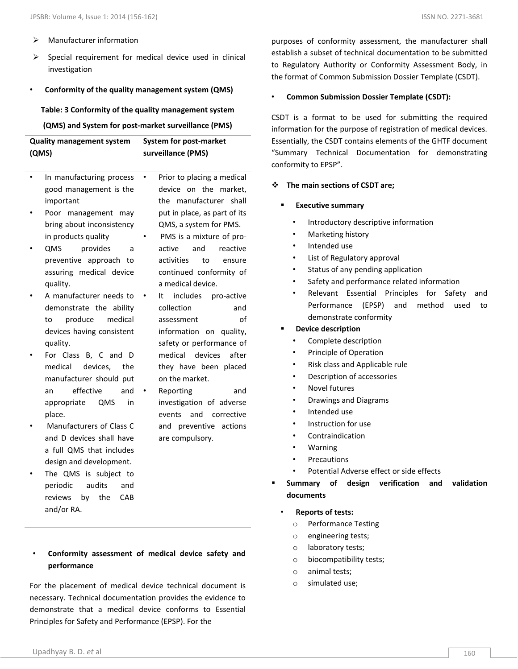- $\triangleright$  Manufacturer information
- $\triangleright$  Special requirement for medical device used in clinical investigation

#### • **Conformity of the quality management system (QMS)**

**Table: 3 Conformity of the quality management system (QMS) and System for post-market surveillance (PMS)**

| <b>Quality management system</b> | System for post-market |
|----------------------------------|------------------------|
| (QMS)                            | surveillance (PMS)     |

- In manufacturing process good management is the important Prior to placing a medical device on the market, the manufacturer shall
- Poor management may bring about inconsistency in products quality
- QMS provides a preventive approach to assuring medical device quality.
- A manufacturer needs to demonstrate the ability to produce medical devices having consistent quality.
- For Class B, C and D medical devices, the manufacturer should put an effective and appropriate QMS in place.
- Manufacturers of Class C and D devices shall have a full QMS that includes design and development.
- The QMS is subject to periodic audits and reviews by the CAB and/or RA.
- put in place, as part of its QMS, a system for PMS.
- PMS is a mixture of proactive and reactive activities to ensure continued conformity of a medical device.
- It includes pro-active collection and assessment of information on quality, safety or performance of medical devices after they have been placed on the market.
- Reporting and investigation of adverse events and corrective and preventive actions are compulsory.

purposes of conformity assessment, the manufacturer shall establish a subset of technical documentation to be submitted to Regulatory Authority or Conformity Assessment Body, in the format of Common Submission Dossier Template (CSDT).

#### • **Common Submission Dossier Template (CSDT):**

CSDT is a format to be used for submitting the required information for the purpose of registration of medical devices. Essentially, the CSDT contains elements of the GHTF document "Summary Technical Documentation for demonstrating conformity to EPSP".

#### **The main sections of CSDT are;**

- **Executive summary** 
	- Introductory descriptive information
	- Marketing history
	- Intended use
	- List of Regulatory approval
	- Status of any pending application
	- Safety and performance related information
	- Relevant Essential Principles for Safety and Performance (EPSP) and method used to demonstrate conformity

#### **Device description**

- Complete description
- Principle of Operation
- Risk class and Applicable rule
- Description of accessories
- Novel futures
- Drawings and Diagrams
- Intended use
- Instruction for use
- Contraindication
- Warning
- **Precautions**
- Potential Adverse effect or side effects
- **Summary of design verification and validation documents** 
	- **Reports of tests:**
		- o Performance Testing
		- o engineering tests;
		- o laboratory tests;
		- o biocompatibility tests;
		- o animal tests;
		- o simulated use;
- **Conformity assessment of medical device safety and performance**

For the placement of medical device technical document is necessary. Technical documentation provides the evidence to demonstrate that a medical device conforms to Essential Principles for Safety and Performance (EPSP). For the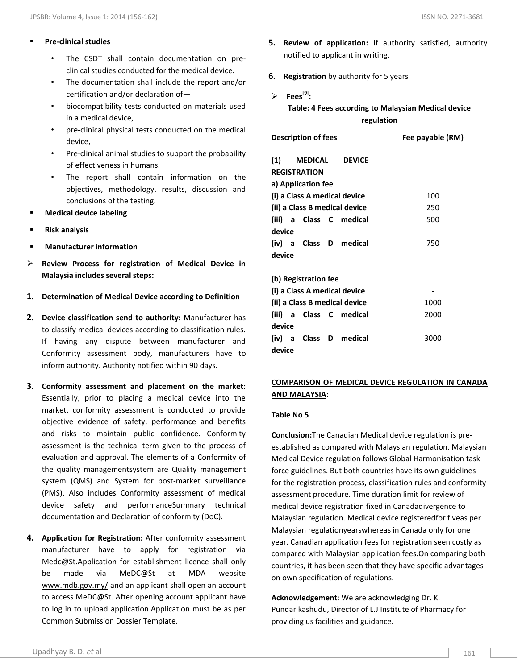- The CSDT shall contain documentation on preclinical studies conducted for the medical device.
- The documentation shall include the report and/or certification and/or declaration of—
- biocompatibility tests conducted on materials used in a medical device,
- pre-clinical physical tests conducted on the medical device,
- Pre-clinical animal studies to support the probability of effectiveness in humans.
- The report shall contain information on the objectives, methodology, results, discussion and conclusions of the testing.
- **Medical device labeling**
- **Risk analysis**
- **Manufacturer information**
- **Review Process for registration of Medical Device in Malaysia includes several steps:**
- **1. Determination of Medical Device according to Definition**
- **2. Device classification send to authority:** Manufacturer has to classify medical devices according to classification rules. If having any dispute between manufacturer and Conformity assessment body, manufacturers have to inform authority. Authority notified within 90 days.
- **3. Conformity assessment and placement on the market:**  Essentially, prior to placing a medical device into the market, conformity assessment is conducted to provide objective evidence of safety, performance and benefits and risks to maintain public confidence. Conformity assessment is the technical term given to the process of evaluation and approval. The elements of a Conformity of the quality managementsystem are Quality management system (QMS) and System for post-market surveillance (PMS). Also includes Conformity assessment of medical device safety and performanceSummary technical documentation and Declaration of conformity (DoC).
- **4. Application for Registration:** After conformity assessment manufacturer have to apply for registration via Medc@St.Application for establishment licence shall only be made via MeDC@St at MDA website www.mdb.gov.my/ and an applicant shall open an account to access MeDC@St. After opening account applicant have to log in to upload application.Application must be as per Common Submission Dossier Template.
- **5. Review of application:** If authority satisfied, authority notified to applicant in writing.
- **6. Registration** by authority for 5 years
- **Fees[9] : Table: 4 Fees according to Malaysian Medical device regulation**

| <b>Description of fees</b>    | Fee payable (RM) |  |  |  |  |
|-------------------------------|------------------|--|--|--|--|
| (1)<br>MEDICAL                | <b>DEVICE</b>    |  |  |  |  |
| <b>REGISTRATION</b>           |                  |  |  |  |  |
| a) Application fee            |                  |  |  |  |  |
| (i) a Class A medical device  | 100              |  |  |  |  |
| (ii) a Class B medical device | 250              |  |  |  |  |
| (iii) a Class C medical       | 500              |  |  |  |  |
| device                        |                  |  |  |  |  |
| (iv) a Class D medical        | 750              |  |  |  |  |
| device                        |                  |  |  |  |  |
|                               |                  |  |  |  |  |
| (b) Registration fee          |                  |  |  |  |  |
| (i) a Class A medical device  |                  |  |  |  |  |
| (ii) a Class B medical device | 1000             |  |  |  |  |
| (iii) a Class C medical       | 2000             |  |  |  |  |
| device                        |                  |  |  |  |  |
| (iv) a Class D medical        | 3000             |  |  |  |  |
| device                        |                  |  |  |  |  |

## **COMPARISON OF MEDICAL DEVICE REGULATION IN CANADA AND MALAYSIA:**

#### **Table No 5**

**Conclusion:**The Canadian Medical device regulation is preestablished as compared with Malaysian regulation. Malaysian Medical Device regulation follows Global Harmonisation task force guidelines. But both countries have its own guidelines for the registration process, classification rules and conformity assessment procedure. Time duration limit for review of medical device registration fixed in Canadadivergence to Malaysian regulation. Medical device registeredfor fiveas per Malaysian regulationyearswhereas in Canada only for one year. Canadian application fees for registration seen costly as compared with Malaysian application fees.On comparing both countries, it has been seen that they have specific advantages on own specification of regulations.

**Acknowledgement**: We are acknowledging Dr. K. Pundarikashudu, Director of L.J Institute of Pharmacy for providing us facilities and guidance.